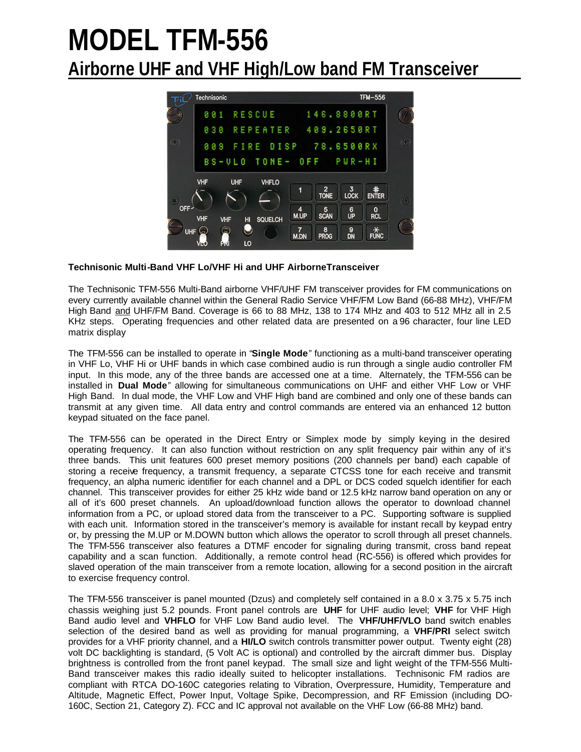# **MODEL TFM-556 Airborne UHF and VHF High/Low band FM Transceiver**



## **Technisonic Multi-Band VHF Lo/VHF Hi and UHF AirborneTransceiver**

The Technisonic TFM-556 Multi-Band airborne VHF/UHF FM transceiver provides for FM communications on every currently available channel within the General Radio Service VHF/FM Low Band (66-88 MHz), VHF/FM High Band and UHF/FM Band. Coverage is 66 to 88 MHz, 138 to 174 MHz and 403 to 512 MHz all in 2.5 KHz steps. Operating frequencies and other related data are presented on a 96 character, four line LED matrix display

The TFM-556 can be installed to operate in "**Single Mode**" functioning as a multi-band transceiver operating in VHF Lo, VHF Hi or UHF bands in which case combined audio is run through a single audio controller FM input. In this mode, any of the three bands are accessed one at a time. Alternately, the TFM-556 can be installed in **Dual Mode**" allowing for simultaneous communications on UHF and either VHF Low or VHF High Band. In dual mode, the VHF Low and VHF High band are combined and only one of these bands can transmit at any given time. All data entry and control commands are entered via an enhanced 12 button keypad situated on the face panel.

The TFM-556 can be operated in the Direct Entry or Simplex mode by simply keying in the desired operating frequency. It can also function without restriction on any split frequency pair within any of it's three bands. This unit features 600 preset memory positions (200 channels per band) each capable of storing a receive frequency, a transmit frequency, a separate CTCSS tone for each receive and transmit frequency, an alpha numeric identifier for each channel and a DPL or DCS coded squelch identifier for each channel. This transceiver provides for either 25 kHz wide band or 12.5 kHz narrow band operation on any or all of it's 600 preset channels. An upload/download function allows the operator to download channel information from a PC, or upload stored data from the transceiver to a PC. Supporting software is supplied with each unit. Information stored in the transceiver's memory is available for instant recall by keypad entry or, by pressing the M.UP or M.DOWN button which allows the operator to scroll through all preset channels. The TFM-556 transceiver also features a DTMF encoder for signaling during transmit, cross band repeat capability and a scan function. Additionally, a remote control head (RC-556) is offered which provides for slaved operation of the main transceiver from a remote location, allowing for a second position in the aircraft to exercise frequency control.

The TFM-556 transceiver is panel mounted (Dzus) and completely self contained in a 8.0 x 3.75 x 5.75 inch chassis weighing just 5.2 pounds. Front panel controls are **UHF** for UHF audio level; **VHF** for VHF High Band audio level and **VHFLO** for VHF Low Band audio level. The **VHF/UHF/VLO** band switch enables selection of the desired band as well as providing for manual programming, a **VHF/PRI** select switch provides for a VHF priority channel, and a **HI/LO** switch controls transmitter power output. Twenty eight (28) volt DC backlighting is standard, (5 Volt AC is optional) and controlled by the aircraft dimmer bus. Display brightness is controlled from the front panel keypad. The small size and light weight of the TFM-556 Multi-Band transceiver makes this radio ideally suited to helicopter installations. Technisonic FM radios are compliant with RTCA DO-160C categories relating to Vibration, Overpressure, Humidity, Temperature and Altitude, Magnetic Effect, Power Input, Voltage Spike, Decompression, and RF Emission (including DO-160C, Section 21, Category Z). FCC and IC approval not available on the VHF Low (66-88 MHz) band.